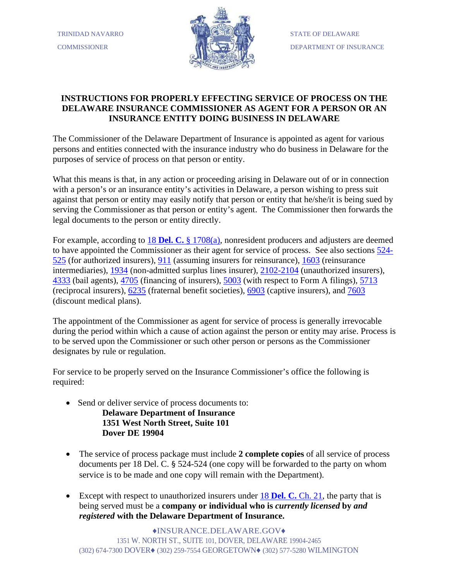

## **INSTRUCTIONS FOR PROPERLY EFFECTING SERVICE OF PROCESS ON THE DELAWARE INSURANCE COMMISSIONER AS AGENT FOR A PERSON OR AN INSURANCE ENTITY DOING BUSINESS IN DELAWARE**

The Commissioner of the Delaware Department of Insurance is appointed as agent for various persons and entities connected with the insurance industry who do business in Delaware for the purposes of service of process on that person or entity.

What this means is that, in any action or proceeding arising in Delaware out of or in connection with a person's or an insurance entity's activities in Delaware, a person wishing to press suit against that person or entity may easily notify that person or entity that he/she/it is being sued by serving the Commissioner as that person or entity's agent. The Commissioner then forwards the legal documents to the person or entity directly.

For example, according to 18 **Del. C.** [§ 1708\(a\),](http://delcode.delaware.gov/title18/c017/index.shtml) nonresident producers and adjusters are deemed to have appointed the Commissioner as their agent for service of process. See also sections  $\frac{524}{52}$ [525](http://delcode.delaware.gov/title18/c005/index.shtml) (for authorized insurers), [911](http://delcode.delaware.gov/title18/c009/sc03/index.shtml) (assuming insurers for reinsurance), [1603](http://delcode.delaware.gov/title18/c016/index.shtml) (reinsurance intermediaries), [1934](http://delcode.delaware.gov/title18/c019/sc03/index.shtml) (non-admitted surplus lines insurer), [2102-2104](http://delcode.delaware.gov/title18/c021/index.shtml) (unauthorized insurers), [4333](http://delcode.delaware.gov/title18/c043/sc02/index.shtml) (bail agents), [4705](http://delcode.delaware.gov/title18/c047/index.shtml) (financing of insurers), [5003](http://delcode.delaware.gov/title18/c050/index.shtml) (with respect to Form A filings), [5713](http://delcode.delaware.gov/title18/c057/index.shtml) (reciprocal insurers), [6235](http://delcode.delaware.gov/title18/c062/sc07/index.shtml) (fraternal benefit societies), [6903](http://delcode.delaware.gov/title18/c069/sc01/index.shtml) (captive insurers), and [7603](http://delcode.delaware.gov/title18/c076/index.shtml) (discount medical plans).

The appointment of the Commissioner as agent for service of process is generally irrevocable during the period within which a cause of action against the person or entity may arise. Process is to be served upon the Commissioner or such other person or persons as the Commissioner designates by rule or regulation.

For service to be properly served on the Insurance Commissioner's office the following is required:

- Send or deliver service of process documents to: **Delaware Department of Insurance 1351 West North Street, Suite 101 Dover DE 19904**
- The service of process package must include **2 complete copies** of all service of process documents per 18 Del. C. § 524-524 (one copy will be forwarded to the party on whom service is to be made and one copy will remain with the Department).
- Except with respect to unauthorized insurers under **18 Del. C. Ch. 21**, the party that is being served must be a **company or individual who is** *currently licensed* **by** *and registered* **with the Delaware Department of Insurance.**